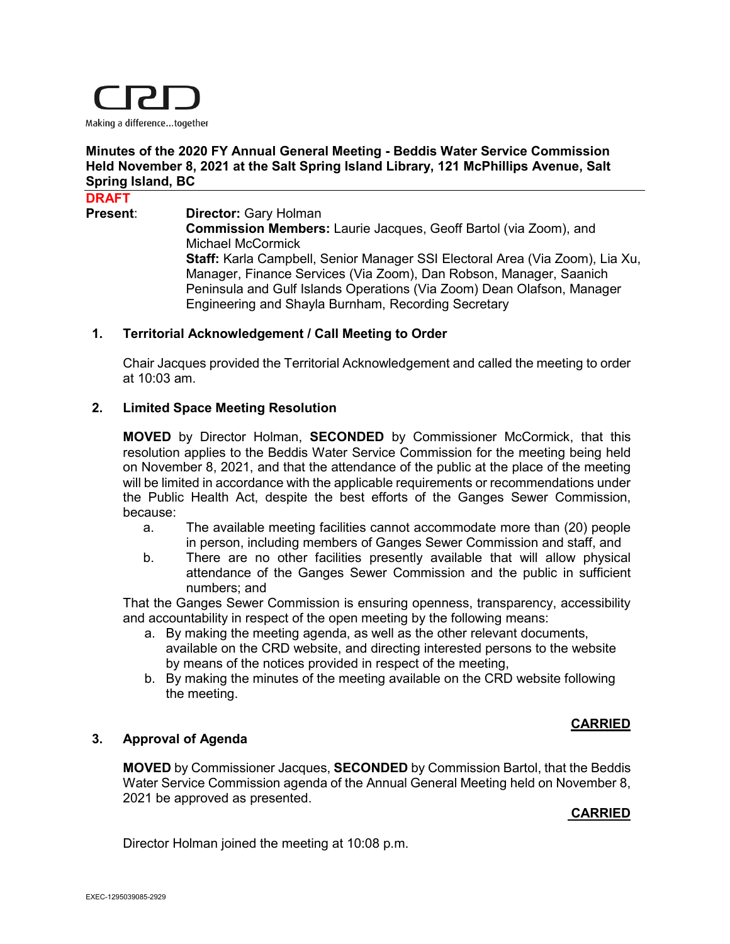

# **Minutes of the 2020 FY Annual General Meeting - Beddis Water Service Commission Held November 8, 2021 at the Salt Spring Island Library, 121 McPhillips Avenue, Salt Spring Island, BC**

**DRAFT Present: Director:** Gary Holman **Commission Members:** Laurie Jacques, Geoff Bartol (via Zoom), and Michael McCormick **Staff:** Karla Campbell, Senior Manager SSI Electoral Area (Via Zoom), Lia Xu, Manager, Finance Services (Via Zoom), Dan Robson, Manager, Saanich Peninsula and Gulf Islands Operations (Via Zoom) Dean Olafson, Manager Engineering and Shayla Burnham, Recording Secretary

#### **1. Territorial Acknowledgement / Call Meeting to Order**

Chair Jacques provided the Territorial Acknowledgement and called the meeting to order at 10:03 am.

#### **2. Limited Space Meeting Resolution**

**MOVED** by Director Holman, **SECONDED** by Commissioner McCormick, that this resolution applies to the Beddis Water Service Commission for the meeting being held on November 8, 2021, and that the attendance of the public at the place of the meeting will be limited in accordance with the applicable requirements or recommendations under the Public Health Act, despite the best efforts of the Ganges Sewer Commission, because:

- a. The available meeting facilities cannot accommodate more than (20) people in person, including members of Ganges Sewer Commission and staff, and
- b. There are no other facilities presently available that will allow physical attendance of the Ganges Sewer Commission and the public in sufficient numbers; and

That the Ganges Sewer Commission is ensuring openness, transparency, accessibility and accountability in respect of the open meeting by the following means:

- a. By making the meeting agenda, as well as the other relevant documents, available on the CRD website, and directing interested persons to the website by means of the notices provided in respect of the meeting,
- b. By making the minutes of the meeting available on the CRD website following the meeting.

#### **CARRIED**

#### **3. Approval of Agenda**

**MOVED** by Commissioner Jacques, **SECONDED** by Commission Bartol, that the Beddis Water Service Commission agenda of the Annual General Meeting held on November 8, 2021 be approved as presented.

# **CARRIED**

Director Holman joined the meeting at 10:08 p.m.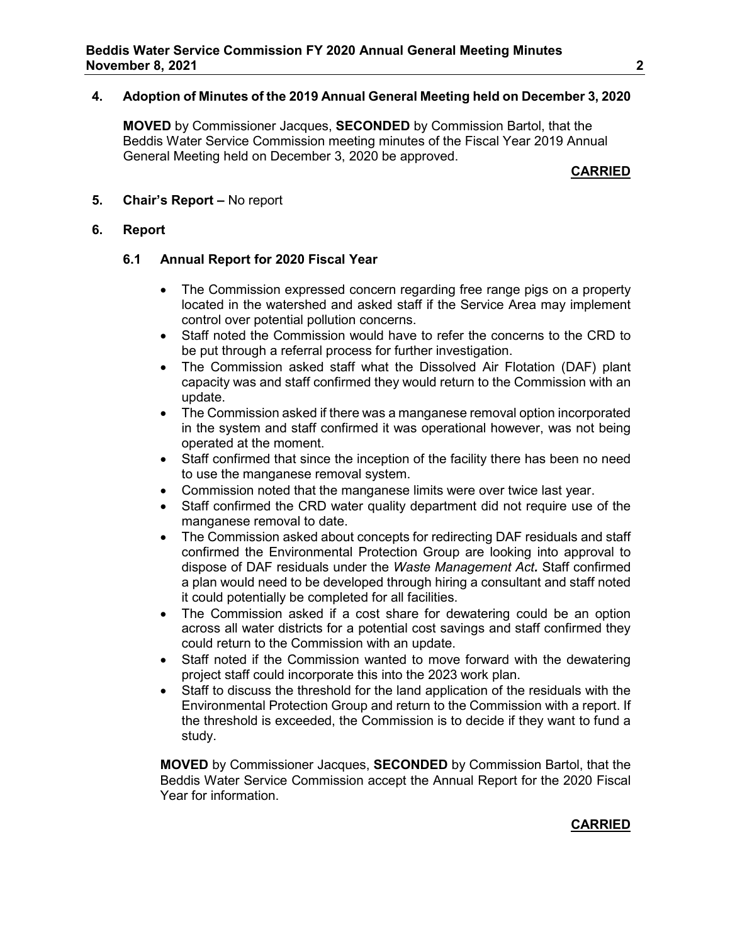# **4. Adoption of Minutes of the 2019 Annual General Meeting held on December 3, 2020**

**MOVED** by Commissioner Jacques, **SECONDED** by Commission Bartol, that the Beddis Water Service Commission meeting minutes of the Fiscal Year 2019 Annual General Meeting held on December 3, 2020 be approved.

#### **CARRIED**

## **5. Chair's Report –** No report

#### **6. Report**

## **6.1 Annual Report for 2020 Fiscal Year**

- The Commission expressed concern regarding free range pigs on a property located in the watershed and asked staff if the Service Area may implement control over potential pollution concerns.
- Staff noted the Commission would have to refer the concerns to the CRD to be put through a referral process for further investigation.
- The Commission asked staff what the Dissolved Air Flotation (DAF) plant capacity was and staff confirmed they would return to the Commission with an update.
- The Commission asked if there was a manganese removal option incorporated in the system and staff confirmed it was operational however, was not being operated at the moment.
- Staff confirmed that since the inception of the facility there has been no need to use the manganese removal system.
- Commission noted that the manganese limits were over twice last year.
- Staff confirmed the CRD water quality department did not require use of the manganese removal to date.
- The Commission asked about concepts for redirecting DAF residuals and staff confirmed the Environmental Protection Group are looking into approval to dispose of DAF residuals under the *Waste Management Act.* Staff confirmed a plan would need to be developed through hiring a consultant and staff noted it could potentially be completed for all facilities.
- The Commission asked if a cost share for dewatering could be an option across all water districts for a potential cost savings and staff confirmed they could return to the Commission with an update.
- Staff noted if the Commission wanted to move forward with the dewatering project staff could incorporate this into the 2023 work plan.
- Staff to discuss the threshold for the land application of the residuals with the Environmental Protection Group and return to the Commission with a report. If the threshold is exceeded, the Commission is to decide if they want to fund a study.

**MOVED** by Commissioner Jacques, **SECONDED** by Commission Bartol, that the Beddis Water Service Commission accept the Annual Report for the 2020 Fiscal Year for information.

# **CARRIED**